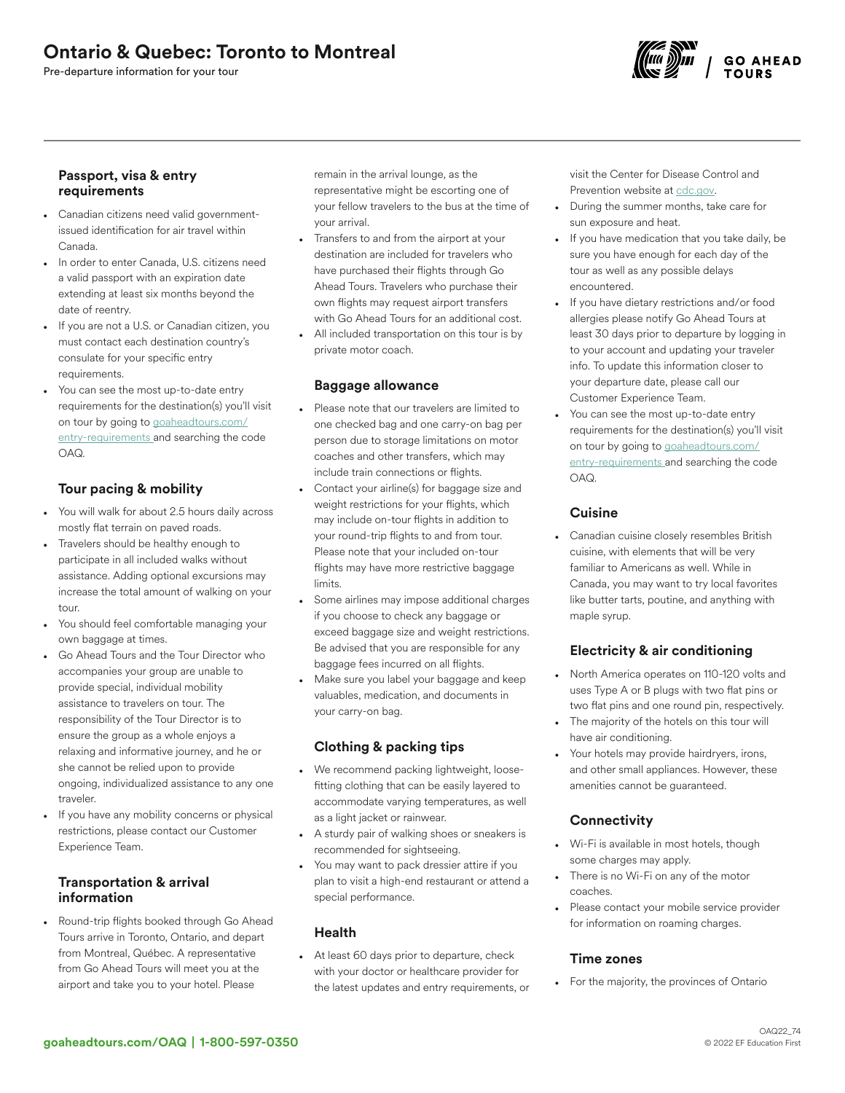# Ontario & Quebec: Toronto to Montreal

Pre-departure information for your tour



# Passport, visa & entry requirements

- Canadian citizens need valid governmentissued identification for air travel within Canada.
- In order to enter Canada, U.S. citizens need a valid passport with an expiration date extending at least six months beyond the date of reentry.
- If you are not a U.S. or Canadian citizen, you must contact each destination country's consulate for your specific entry requirements.
- You can see the most up-to-date entry requirements for the destination(s) you'll visit on tour by going to [goaheadtours.com/](/entry-requirements?tourCode=OAQ) [entry-requirements](/entry-requirements?tourCode=OAQ) and searching the code OAQ.

# Tour pacing & mobility

- You will walk for about 2.5 hours daily across mostly flat terrain on paved roads.
- Travelers should be healthy enough to participate in all included walks without assistance. Adding optional excursions may increase the total amount of walking on your tour.
- You should feel comfortable managing your own baggage at times.
- Go Ahead Tours and the Tour Director who accompanies your group are unable to provide special, individual mobility assistance to travelers on tour. The responsibility of the Tour Director is to ensure the group as a whole enjoys a relaxing and informative journey, and he or she cannot be relied upon to provide ongoing, individualized assistance to any one traveler.
- If you have any mobility concerns or physical restrictions, please contact our Customer Experience Team.

# Transportation & arrival information

• Round-trip flights booked through Go Ahead Tours arrive in Toronto, Ontario, and depart from Montreal, Québec. A representative from Go Ahead Tours will meet you at the airport and take you to your hotel. Please

remain in the arrival lounge, as the representative might be escorting one of your fellow travelers to the bus at the time of your arrival.

- Transfers to and from the airport at your destination are included for travelers who have purchased their flights through Go Ahead Tours. Travelers who purchase their own flights may request airport transfers with Go Ahead Tours for an additional cost.
- All included transportation on this tour is by private motor coach.

#### Baggage allowance

- Please note that our travelers are limited to one checked bag and one carry-on bag per person due to storage limitations on motor coaches and other transfers, which may include train connections or flights.
- Contact your airline(s) for baggage size and weight restrictions for your flights, which may include on-tour flights in addition to your round-trip flights to and from tour. Please note that your included on-tour flights may have more restrictive baggage limits.
- Some airlines may impose additional charges if you choose to check any baggage or exceed baggage size and weight restrictions. Be advised that you are responsible for any baggage fees incurred on all flights.
- Make sure you label your baggage and keep valuables, medication, and documents in your carry-on bag.

# Clothing & packing tips

- We recommend packing lightweight, loosefitting clothing that can be easily layered to accommodate varying temperatures, as well as a light jacket or rainwear.
- A sturdy pair of walking shoes or sneakers is recommended for sightseeing.
- You may want to pack dressier attire if you plan to visit a high-end restaurant or attend a special performance.

#### Health

• At least 60 days prior to departure, check with your doctor or healthcare provider for the latest updates and entry requirements, or visit the Center for Disease Control and Prevention website at [cdc.gov.](https://www.cdc.gov/)

- During the summer months, take care for sun exposure and heat.
- If you have medication that you take daily, be sure you have enough for each day of the tour as well as any possible delays encountered.
- If you have dietary restrictions and/or food allergies please notify Go Ahead Tours at least 30 days prior to departure by logging in to your account and updating your traveler info. To update this information closer to your departure date, please call our Customer Experience Team.
- You can see the most up-to-date entry requirements for the destination(s) you'll visit on tour by going to [goaheadtours.com/](/entry-requirements?tourCode=OAQ) [entry-requirements](/entry-requirements?tourCode=OAQ) and searching the code OAQ.

# **Cuisine**

• Canadian cuisine closely resembles British cuisine, with elements that will be very familiar to Americans as well. While in Canada, you may want to try local favorites like butter tarts, poutine, and anything with maple syrup.

# Electricity & air conditioning

- North America operates on 110-120 volts and uses Type A or B plugs with two flat pins or two flat pins and one round pin, respectively.
- The majority of the hotels on this tour will have air conditioning.
- Your hotels may provide hairdryers, irons, and other small appliances. However, these amenities cannot be guaranteed.

# **Connectivity**

- Wi-Fi is available in most hotels, though some charges may apply.
- There is no Wi-Fi on any of the motor coaches.
- Please contact your mobile service provider for information on roaming charges.

#### Time zones

• For the majority, the provinces of Ontario